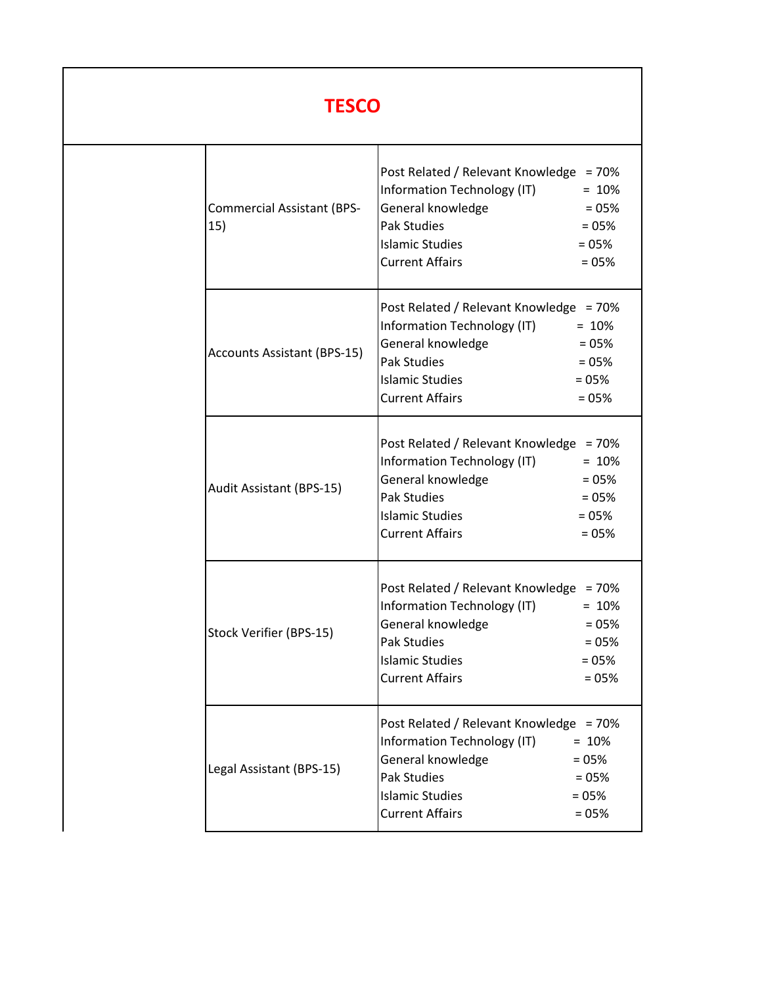## **TESCO**

| <b>Commercial Assistant (BPS-</b><br>15) | Post Related / Relevant Knowledge = 70%<br>Information Technology (IT)<br>General knowledge<br><b>Pak Studies</b><br><b>Islamic Studies</b><br><b>Current Affairs</b> | $= 10%$<br>$= 05%$<br>$= 05%$<br>$= 05%$<br>$= 05%$            |
|------------------------------------------|-----------------------------------------------------------------------------------------------------------------------------------------------------------------------|----------------------------------------------------------------|
| <b>Accounts Assistant (BPS-15)</b>       | Post Related / Relevant Knowledge = 70%<br>Information Technology (IT)<br>General knowledge<br><b>Pak Studies</b><br><b>Islamic Studies</b><br><b>Current Affairs</b> | $= 10%$<br>$= 05%$<br>$= 05%$<br>$= 05%$<br>$= 05%$            |
| Audit Assistant (BPS-15)                 | Post Related / Relevant Knowledge = 70%<br>Information Technology (IT)<br>General knowledge<br><b>Pak Studies</b><br><b>Islamic Studies</b><br><b>Current Affairs</b> | $= 10%$<br>$= 05%$<br>$= 05%$<br>$= 05%$<br>$= 05%$            |
| Stock Verifier (BPS-15)                  | Post Related / Relevant Knowledge<br>Information Technology (IT)<br>General knowledge<br><b>Pak Studies</b><br><b>Islamic Studies</b><br><b>Current Affairs</b>       | $= 70%$<br>$= 10%$<br>$= 05%$<br>$= 05%$<br>$= 05%$<br>$= 05%$ |
| Legal Assistant (BPS-15)                 | Post Related / Relevant Knowledge = 70%<br>Information Technology (IT)<br>General knowledge<br><b>Pak Studies</b><br><b>Islamic Studies</b><br><b>Current Affairs</b> | $= 10%$<br>$= 05%$<br>$= 05%$<br>$= 05%$<br>$= 05%$            |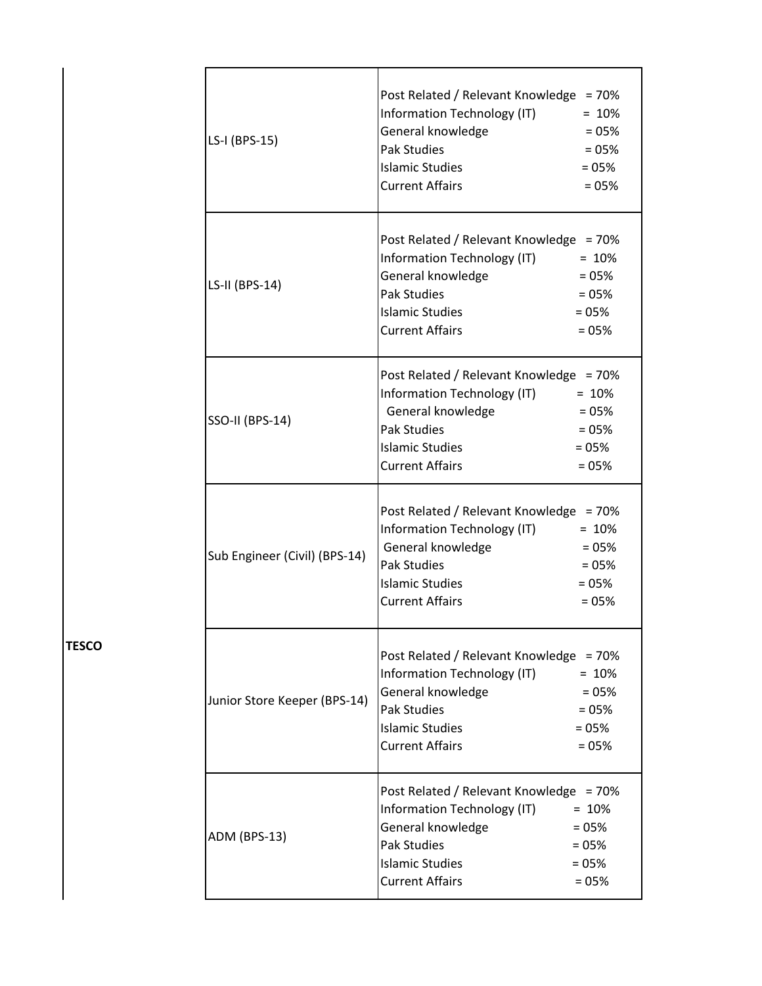| LS-I (BPS-15)                 | Post Related / Relevant Knowledge = 70%<br>Information Technology (IT)<br>General knowledge<br><b>Pak Studies</b><br><b>Islamic Studies</b><br><b>Current Affairs</b>                  | $= 10%$<br>$= 05%$<br>$= 05%$<br>$= 05%$<br>$= 05%$ |
|-------------------------------|----------------------------------------------------------------------------------------------------------------------------------------------------------------------------------------|-----------------------------------------------------|
| LS-II (BPS-14)                | Post Related / Relevant Knowledge = 70%<br>Information Technology (IT) = 10%<br>General knowledge<br><b>Pak Studies</b><br><b>Islamic Studies</b><br><b>Current Affairs</b>            | $= 05\%$<br>$= 05%$<br>$= 05%$<br>$= 05%$           |
| <b>SSO-II (BPS-14)</b>        | Post Related / Relevant Knowledge = 70%<br>Information Technology (IT) = 10%<br>General knowledge<br>$= 05%$<br><b>Pak Studies</b><br><b>Islamic Studies</b><br><b>Current Affairs</b> | $= 05%$<br>$= 05%$<br>$= 05%$                       |
| Sub Engineer (Civil) (BPS-14) | Post Related / Relevant Knowledge = 70%<br>Information Technology (IT) = 10%<br>General knowledge<br><b>Pak Studies</b><br><b>Islamic Studies</b><br><b>Current Affairs</b>            | $= 05%$<br>$= 05%$<br>$= 05%$<br>$= 05%$            |
| Junior Store Keeper (BPS-14)  | Post Related / Relevant Knowledge = 70%<br>Information Technology (IT)<br>General knowledge<br><b>Pak Studies</b><br><b>Islamic Studies</b><br><b>Current Affairs</b>                  | $= 10%$<br>$= 05%$<br>$= 05%$<br>$= 05%$<br>$= 05%$ |
| ADM (BPS-13)                  | Post Related / Relevant Knowledge = 70%<br>Information Technology (IT)<br>General knowledge<br><b>Pak Studies</b><br><b>Islamic Studies</b><br><b>Current Affairs</b>                  | $= 10%$<br>$= 05%$<br>$= 05%$<br>$= 05%$<br>$= 05%$ |

**TESCO**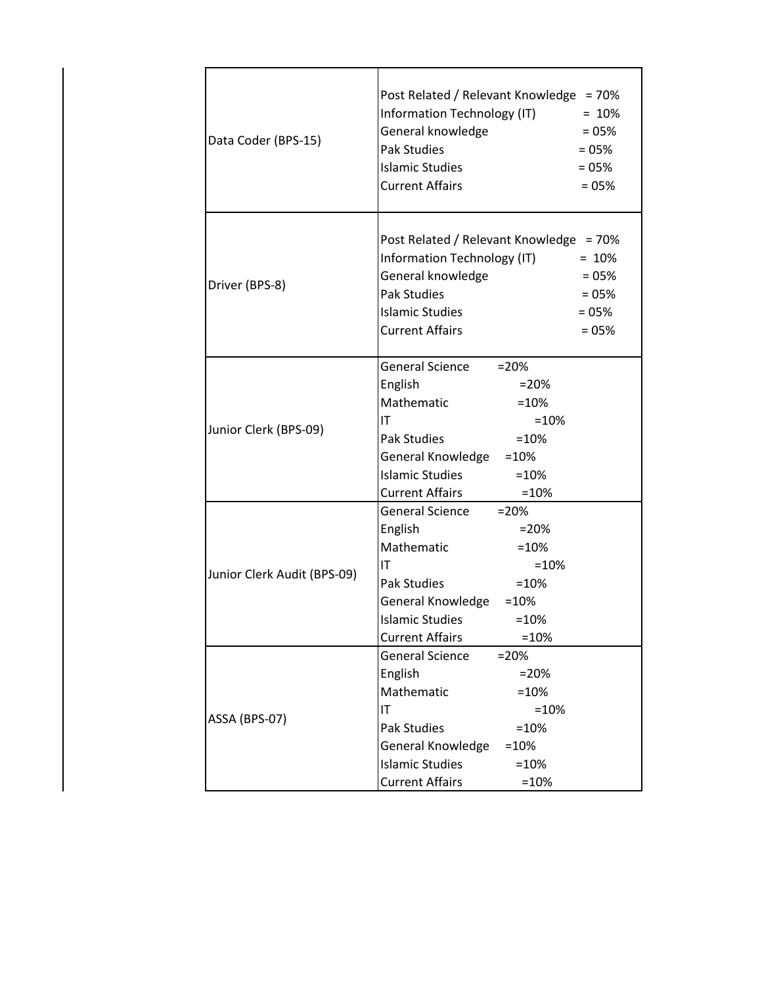| Data Coder (BPS-15)         | Post Related / Relevant Knowledge = 70%<br>Information Technology (IT)<br>General knowledge<br><b>Pak Studies</b><br><b>Islamic Studies</b><br><b>Current Affairs</b>                                                                  | $= 10%$<br>$= 05%$<br>$= 05%$<br>$= 05%$<br>$= 05%$ |
|-----------------------------|----------------------------------------------------------------------------------------------------------------------------------------------------------------------------------------------------------------------------------------|-----------------------------------------------------|
| Driver (BPS-8)              | Post Related / Relevant Knowledge = 70%<br>Information Technology (IT)<br>General knowledge<br><b>Pak Studies</b><br><b>Islamic Studies</b><br><b>Current Affairs</b>                                                                  | $= 10%$<br>$= 05%$<br>$= 05%$<br>$= 05%$<br>$= 05%$ |
| Junior Clerk (BPS-09)       | <b>General Science</b><br>$=20%$<br>English<br>$= 20%$<br>Mathematic<br>$=10%$<br>ΙT<br>$=10%$<br>Pak Studies<br>$=10%$<br>General Knowledge = 10%<br>Islamic Studies = 10%<br><b>Current Affairs</b><br>$=10%$                        |                                                     |
| Junior Clerk Audit (BPS-09) | General Science = 20%<br>English<br>$= 20%$<br>Mathematic<br>$=10%$<br>IT<br>$=10%$<br>Pak Studies<br>$=10%$<br>General Knowledge = 10%<br><b>Islamic Studies</b><br>$=10%$<br><b>Current Affairs</b><br>$=10%$                        |                                                     |
| ASSA (BPS-07)               | <b>General Science</b><br>$= 20%$<br>English<br>$= 20%$<br>Mathematic<br>$=10%$<br>IT<br>$=10%$<br><b>Pak Studies</b><br>$=10%$<br>General Knowledge<br>$=10%$<br><b>Islamic Studies</b><br>$=10%$<br><b>Current Affairs</b><br>$=10%$ |                                                     |